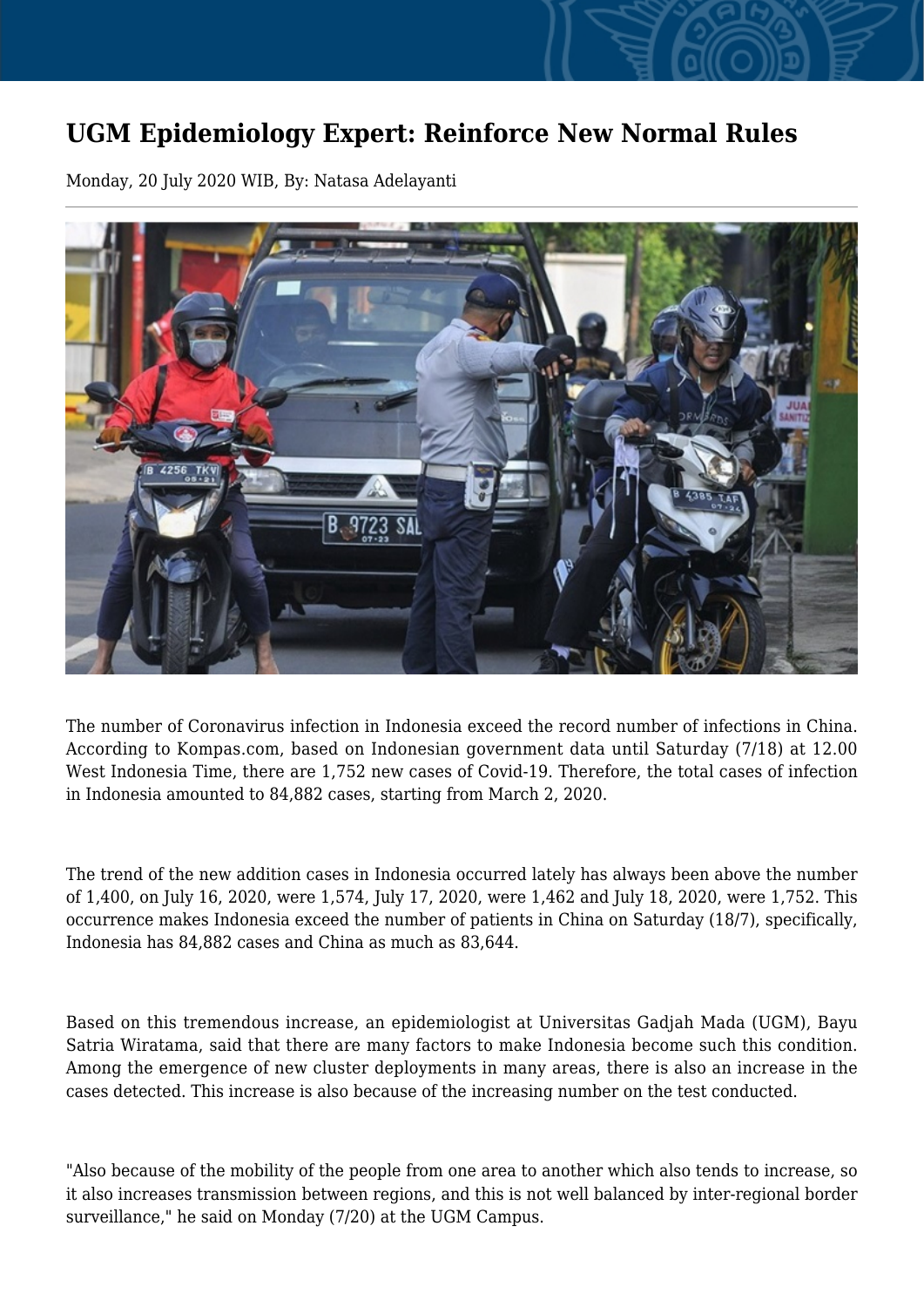## **UGM Epidemiology Expert: Reinforce New Normal Rules**

Monday, 20 July 2020 WIB, By: Natasa Adelayanti



The number of Coronavirus infection in Indonesia exceed the record number of infections in China. According to Kompas.com, based on Indonesian government data until Saturday (7/18) at 12.00 West Indonesia Time, there are 1,752 new cases of Covid-19. Therefore, the total cases of infection in Indonesia amounted to 84,882 cases, starting from March 2, 2020.

The trend of the new addition cases in Indonesia occurred lately has always been above the number of 1,400, on July 16, 2020, were 1,574, July 17, 2020, were 1,462 and July 18, 2020, were 1,752. This occurrence makes Indonesia exceed the number of patients in China on Saturday (18/7), specifically, Indonesia has 84,882 cases and China as much as 83,644.

Based on this tremendous increase, an epidemiologist at Universitas Gadjah Mada (UGM), Bayu Satria Wiratama, said that there are many factors to make Indonesia become such this condition. Among the emergence of new cluster deployments in many areas, there is also an increase in the cases detected. This increase is also because of the increasing number on the test conducted.

"Also because of the mobility of the people from one area to another which also tends to increase, so it also increases transmission between regions, and this is not well balanced by inter-regional border surveillance," he said on Monday (7/20) at the UGM Campus.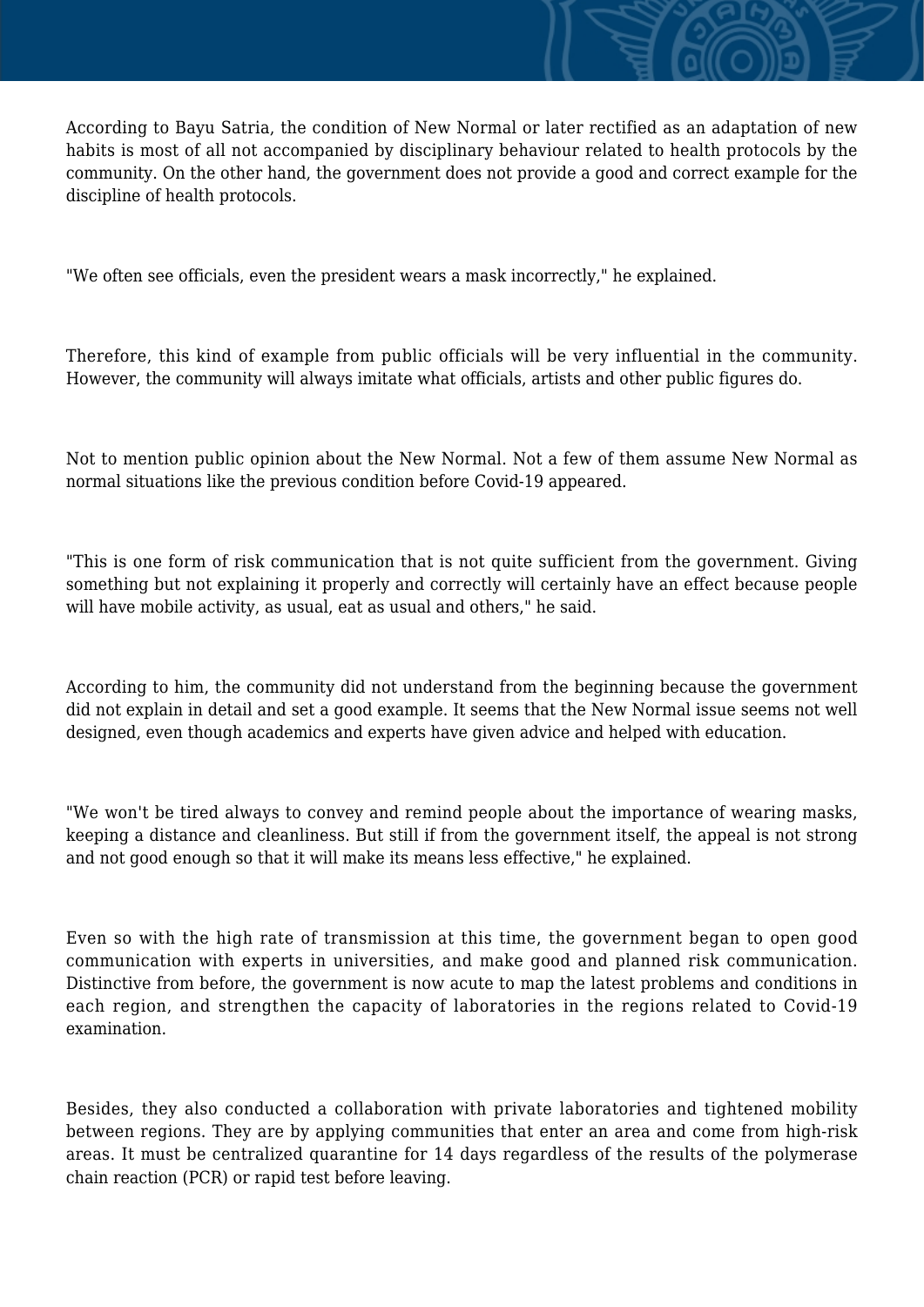According to Bayu Satria, the condition of New Normal or later rectified as an adaptation of new habits is most of all not accompanied by disciplinary behaviour related to health protocols by the community. On the other hand, the government does not provide a good and correct example for the discipline of health protocols.

"We often see officials, even the president wears a mask incorrectly," he explained.

Therefore, this kind of example from public officials will be very influential in the community. However, the community will always imitate what officials, artists and other public figures do.

Not to mention public opinion about the New Normal. Not a few of them assume New Normal as normal situations like the previous condition before Covid-19 appeared.

"This is one form of risk communication that is not quite sufficient from the government. Giving something but not explaining it properly and correctly will certainly have an effect because people will have mobile activity, as usual, eat as usual and others," he said.

According to him, the community did not understand from the beginning because the government did not explain in detail and set a good example. It seems that the New Normal issue seems not well designed, even though academics and experts have given advice and helped with education.

"We won't be tired always to convey and remind people about the importance of wearing masks, keeping a distance and cleanliness. But still if from the government itself, the appeal is not strong and not good enough so that it will make its means less effective," he explained.

Even so with the high rate of transmission at this time, the government began to open good communication with experts in universities, and make good and planned risk communication. Distinctive from before, the government is now acute to map the latest problems and conditions in each region, and strengthen the capacity of laboratories in the regions related to Covid-19 examination.

Besides, they also conducted a collaboration with private laboratories and tightened mobility between regions. They are by applying communities that enter an area and come from high-risk areas. It must be centralized quarantine for 14 days regardless of the results of the polymerase chain reaction (PCR) or rapid test before leaving.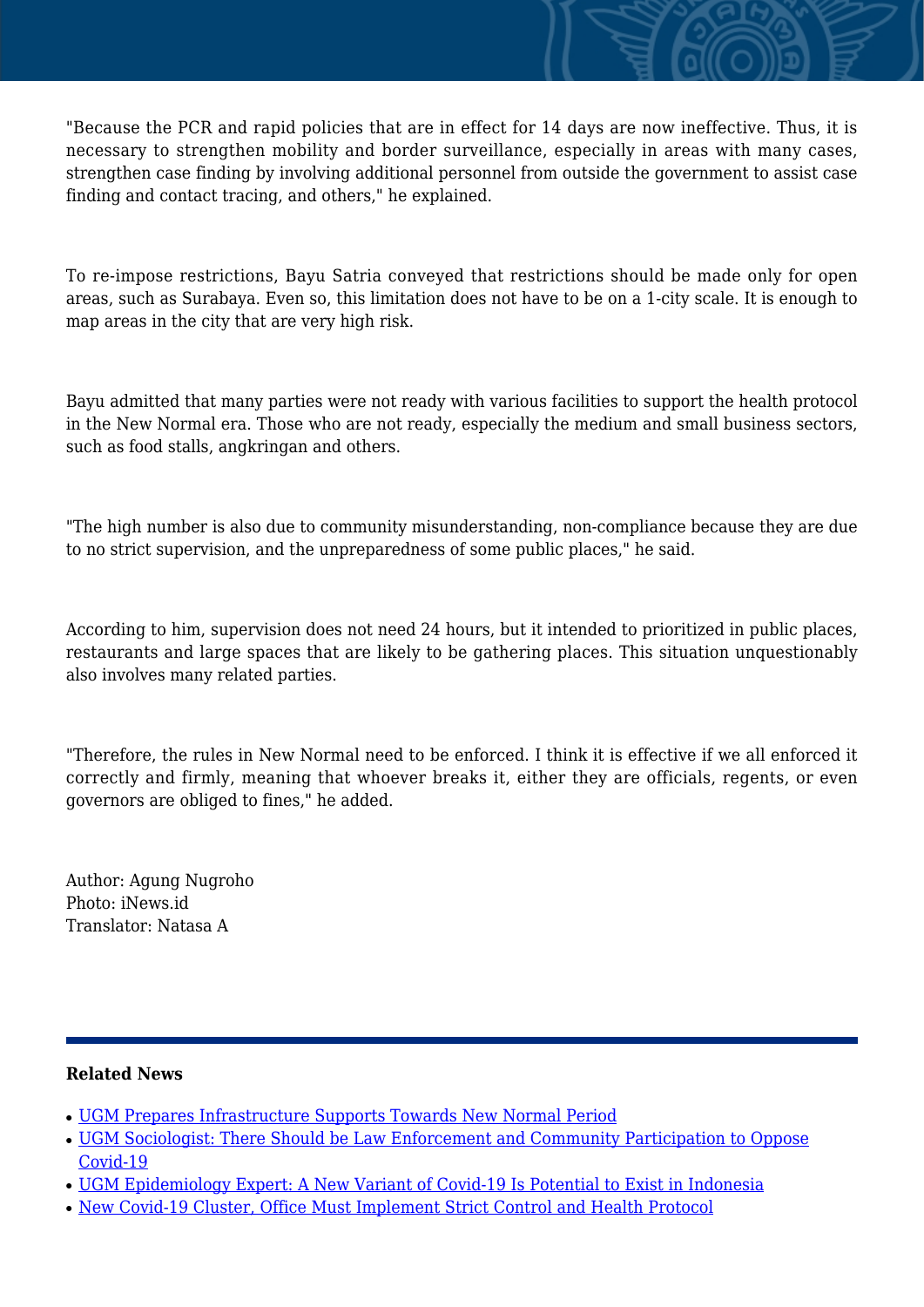"Because the PCR and rapid policies that are in effect for 14 days are now ineffective. Thus, it is necessary to strengthen mobility and border surveillance, especially in areas with many cases, strengthen case finding by involving additional personnel from outside the government to assist case finding and contact tracing, and others," he explained.

To re-impose restrictions, Bayu Satria conveyed that restrictions should be made only for open areas, such as Surabaya. Even so, this limitation does not have to be on a 1-city scale. It is enough to map areas in the city that are very high risk.

Bayu admitted that many parties were not ready with various facilities to support the health protocol in the New Normal era. Those who are not ready, especially the medium and small business sectors, such as food stalls, angkringan and others.

"The high number is also due to community misunderstanding, non-compliance because they are due to no strict supervision, and the unpreparedness of some public places," he said.

According to him, supervision does not need 24 hours, but it intended to prioritized in public places, restaurants and large spaces that are likely to be gathering places. This situation unquestionably also involves many related parties.

"Therefore, the rules in New Normal need to be enforced. I think it is effective if we all enforced it correctly and firmly, meaning that whoever breaks it, either they are officials, regents, or even governors are obliged to fines," he added.

Author: Agung Nugroho Photo: iNews.id Translator: Natasa A

## **Related News**

- [UGM Prepares Infrastructure Supports Towards New Normal Period](http://ugm.ac.id/www.ugm.ac.id//en/news/20796-ugm-epidemiology-expert-a-new-variant-of-covid-19-is-potential-to-exist-in-indonesia)
- [UGM Sociologist: There Should be Law Enforcement and Community Participation to Oppose](http://ugm.ac.id/www.ugm.ac.id//en/news/19811-new-covid-19-cluster-office-must-implement-strict-control-and-health-protocol) [Covid-19](http://ugm.ac.id/www.ugm.ac.id//en/news/19811-new-covid-19-cluster-office-must-implement-strict-control-and-health-protocol)
- [UGM Epidemiology Expert: A New Variant of Covid-19 Is Potential to Exist in Indonesia](http://ugm.ac.id/www.ugm.ac.id//en/news/19777-ugm-it-expert-beware-of-cyber-attacks-during-the-pandemic)
- [New Covid-19 Cluster, Office Must Implement Strict Control and Health Protocol](http://ugm.ac.id/www.ugm.ac.id//en/news/19518-ugm-prepares-infrastructure-supports-towards-new-normal-period)